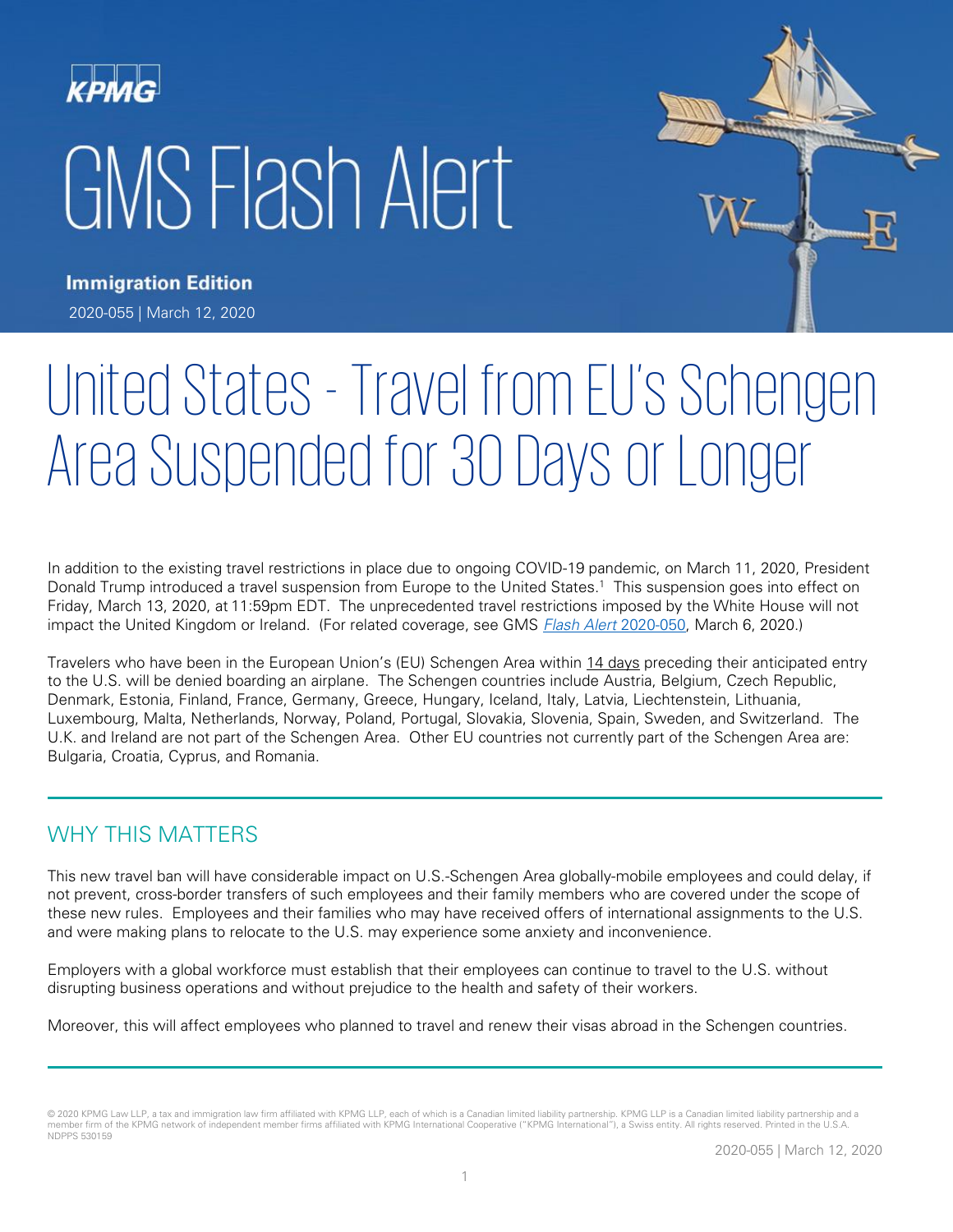# GMS Flash Alert



**Immigration Edition** 2020-055 | March 12, 2020

# United States - Travel from EU's Schengen Area Suspended for 30 Days or Longer

In addition to the existing travel restrictions in place due to ongoing COVID-19 pandemic, on March 11, 2020, President Donald Trump introduced a travel suspension from Europe to the United States.<sup>1</sup> This suspension goes into effect on Friday, March 13, 2020, at 11:59pm EDT. The unprecedented travel restrictions imposed by the White House will not impact the United Kingdom or Ireland. (For related coverage, see GMS *[Flash Alert](https://home.kpmg/xx/en/home/insights/2020/03/flash-alert-2020-050.html)* 2020-050, March 6, 2020.)

Travelers who have been in the European Union's (EU) Schengen Area within 14 days preceding their anticipated entry to the U.S. will be denied boarding an airplane. The Schengen countries include Austria, Belgium, Czech Republic, Denmark, Estonia, Finland, France, Germany, Greece, Hungary, Iceland, Italy, Latvia, Liechtenstein, Lithuania, Luxembourg, Malta, Netherlands, Norway, Poland, Portugal, Slovakia, Slovenia, Spain, Sweden, and Switzerland. The U.K. and Ireland are not part of the Schengen Area. Other EU countries not currently part of the Schengen Area are: Bulgaria, Croatia, Cyprus, and Romania.

## WHY THIS MATTERS

This new travel ban will have considerable impact on U.S.-Schengen Area globally-mobile employees and could delay, if not prevent, cross-border transfers of such employees and their family members who are covered under the scope of these new rules. Employees and their families who may have received offers of international assignments to the U.S. and were making plans to relocate to the U.S. may experience some anxiety and inconvenience.

Employers with a global workforce must establish that their employees can continue to travel to the U.S. without disrupting business operations and without prejudice to the health and safety of their workers.

Moreover, this will affect employees who planned to travel and renew their visas abroad in the Schengen countries.

<sup>© 2020</sup> KPMG Law LLP, a tax and immigration law firm affiliated with KPMG LLP, each of which is a Canadian limited liability partnership. KPMG LLP is a Canadian limited liability partnership and a member firm of the KPMG network of independent member firms affiliated with KPMG International Cooperative ("KPMG International"), a Swiss entity. All rights reserved. Printed in the U.S.A. NDPPS 530159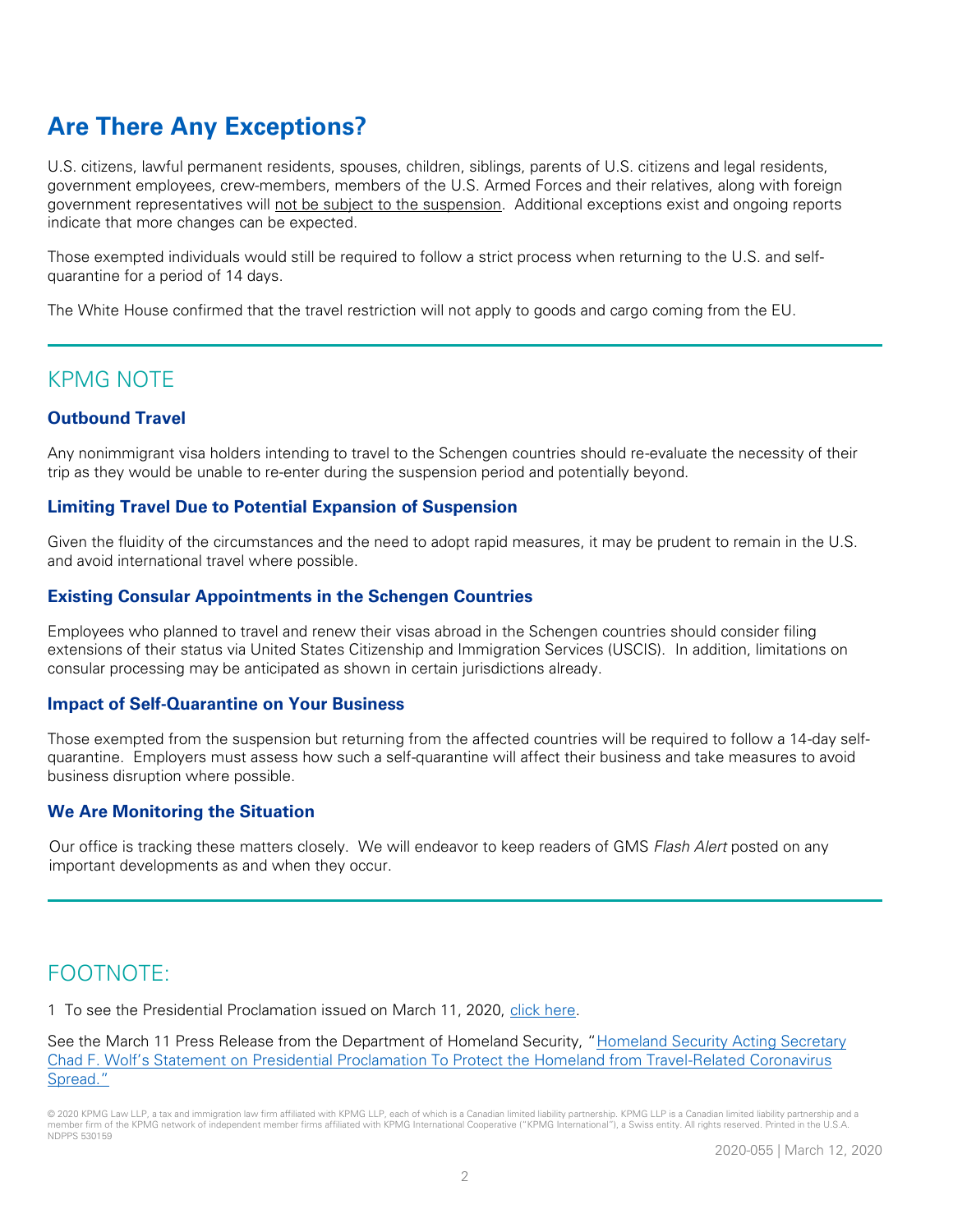# **Are There Any Exceptions?**

U.S. citizens, lawful permanent residents, spouses, children, siblings, parents of U.S. citizens and legal residents, government employees, crew-members, members of the U.S. Armed Forces and their relatives, along with foreign government representatives will not be subject to the suspension. Additional exceptions exist and ongoing reports indicate that more changes can be expected.

Those exempted individuals would still be required to follow a strict process when returning to the U.S. and selfquarantine for a period of 14 days.

The White House confirmed that the travel restriction will not apply to goods and cargo coming from the EU.

## KPMG NOTE

#### **Outbound Travel**

Any nonimmigrant visa holders intending to travel to the Schengen countries should re-evaluate the necessity of their trip as they would be unable to re-enter during the suspension period and potentially beyond.

#### **Limiting Travel Due to Potential Expansion of Suspension**

Given the fluidity of the circumstances and the need to adopt rapid measures, it may be prudent to remain in the U.S. and avoid international travel where possible.

#### **Existing Consular Appointments in the Schengen Countries**

Employees who planned to travel and renew their visas abroad in the Schengen countries should consider filing extensions of their status via United States Citizenship and Immigration Services (USCIS). In addition, limitations on consular processing may be anticipated as shown in certain jurisdictions already.

#### **Impact of Self-Quarantine on Your Business**

Those exempted from the suspension but returning from the affected countries will be required to follow a 14-day selfquarantine. Employers must assess how such a self-quarantine will affect their business and take measures to avoid business disruption where possible.

#### **We Are Monitoring the Situation**

Our office is tracking these matters closely. We will endeavor to keep readers of GMS Flash Alert posted on any important developments as and when they occur.

# FOOTNOTE:

1 To see the Presidential Proclamation issued on March 11, 2020, [click here.](https://www.whitehouse.gov/presidential-actions/proclamation-suspension-entry-immigrants-nonimmigrants-certain-additional-persons-pose-risk-transmitting-2019-novel-coronavirus/)

See the March 11 Press Release from the Department of Homeland Security, "Homeland Security Acting Secretary Chad F. Wolf's Statement on [Presidential Proclamation To Protect the Homeland from Travel-Related Coronavirus](https://www.dhs.gov/news/2020/03/11/homeland-security-acting-secretary-chad-f-wolf-s-statement-presidential-proclamation)  [Spread."](https://www.dhs.gov/news/2020/03/11/homeland-security-acting-secretary-chad-f-wolf-s-statement-presidential-proclamation)

<sup>© 2020</sup> KPMG Law LLP, a tax and immigration law firm affiliated with KPMG LLP, each of which is a Canadian limited liability partnership. KPMG LLP is a Canadian limited liability partnership and a member firm of the KPMG network of independent member firms affiliated with KPMG International Cooperative ("KPMG International"), a Swiss entity. All rights reserved. Printed in the U.S.A. NDPPS 530159